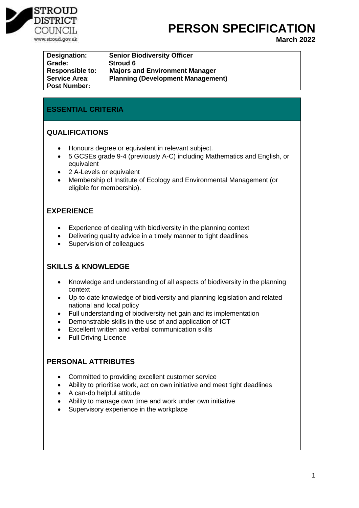

# **PERSON SPECIFICATION**

**March 2022**

| Designation:           | <b>Senior Biodiversity Officer</b>       |
|------------------------|------------------------------------------|
| Grade:                 | Stroud 6                                 |
| <b>Responsible to:</b> | <b>Majors and Environment Manager</b>    |
| <b>Service Area:</b>   | <b>Planning (Development Management)</b> |
| <b>Post Number:</b>    |                                          |

## **ESSENTIAL CRITERIA**

## **QUALIFICATIONS**

- Honours degree or equivalent in relevant subject.
- 5 GCSEs grade 9-4 (previously A-C) including Mathematics and English, or equivalent
- 2 A-Levels or equivalent
- Membership of Institute of Ecology and Environmental Management (or eligible for membership).

## **EXPERIENCE**

- Experience of dealing with biodiversity in the planning context
- Delivering quality advice in a timely manner to tight deadlines
- Supervision of colleagues

## **SKILLS & KNOWLEDGE**

- Knowledge and understanding of all aspects of biodiversity in the planning context
- Up-to-date knowledge of biodiversity and planning legislation and related national and local policy
- Full understanding of biodiversity net gain and its implementation
- Demonstrable skills in the use of and application of ICT
- Excellent written and verbal communication skills
- Full Driving Licence

## **PERSONAL ATTRIBUTES**

- Committed to providing excellent customer service
- Ability to prioritise work, act on own initiative and meet tight deadlines
- A can-do helpful attitude
- Ability to manage own time and work under own initiative
- Supervisory experience in the workplace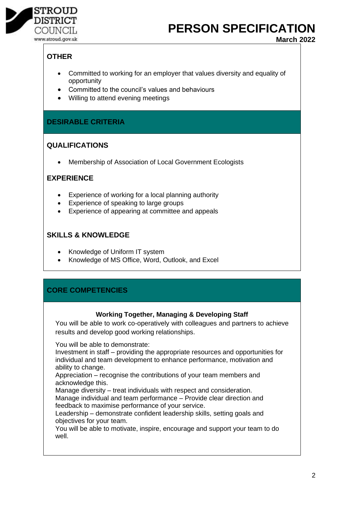

**PERSON SPECIFICATION** 

**March 2022**

# **OTHER**

- Committed to working for an employer that values diversity and equality of opportunity
- Committed to the council's values and behaviours
- Willing to attend evening meetings

## **DESIRABLE CRITERIA**

## **QUALIFICATIONS**

• Membership of Association of Local Government Ecologists

## **EXPERIENCE**

- Experience of working for a local planning authority
- Experience of speaking to large groups
- Experience of appearing at committee and appeals

## **SKILLS & KNOWLEDGE**

- Knowledge of Uniform IT system
- Knowledge of MS Office, Word, Outlook, and Excel

## **CORE COMPETENCIES**

## **Working Together, Managing & Developing Staff**

You will be able to work co-operatively with colleagues and partners to achieve results and develop good working relationships.

You will be able to demonstrate:

Investment in staff – providing the appropriate resources and opportunities for individual and team development to enhance performance, motivation and ability to change.

Appreciation – recognise the contributions of your team members and acknowledge this.

Manage diversity – treat individuals with respect and consideration. Manage individual and team performance – Provide clear direction and feedback to maximise performance of your service.

Leadership – demonstrate confident leadership skills, setting goals and objectives for your team.

You will be able to motivate, inspire, encourage and support your team to do well.